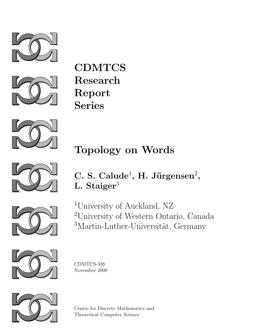



**CDMTCS** Research Report Series



# Topology on Words



C. S. Calude<sup>1</sup>, H. Jürgensen<sup>2</sup>, L. Staiger<sup>3</sup>



<sup>1</sup>University of Auckland, NZ <sup>2</sup>University of Western Ontario, Canada <sup>3</sup>Martin-Luther-Universität, Germany



CDMTCS-338 November 2008



Centre for Discrete Mathematics and Theoretical Computer Science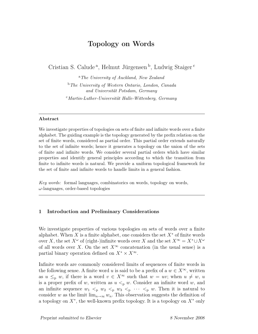# Topology on Words

Cristian S. Calude<sup>a</sup>, Helmut Jürgensen<sup>b</sup>, Ludwig Staiger<sup>c</sup>

<sup>a</sup>The University of Auckland, New Zealand  $b$  The University of Western Ontario, London, Canada and Universität Potsdam, Germany  $c<sub>Martin-Luther-Universität Halle-Wittenberg, Germany</sub>$ 

#### Abstract

We investigate properties of topologies on sets of finite and infinite words over a finite alphabet. The guiding example is the topology generated by the prefix relation on the set of finite words, considered as partial order. This partial order extends naturally to the set of infinite words; hence it generates a topology on the union of the sets of finite and infinite words. We consider several partial orders which have similar properties and identify general principles according to which the transition from finite to infinite words is natural. We provide a uniform topological framework for the set of finite and infinite words to handle limits in a general fashion.

Key words: formal languages, combinatorics on words, topology on words,  $\omega$ -languages, order-based topologies

#### 1 Introduction and Preliminary Considerations

We investigate properties of various topologies on sets of words over a finite alphabet. When X is a finite alphabet, one considers the set  $X^*$  of finite words over X, the set  $X^{\omega}$  of (right-)infinite words over X and the set  $X^{\infty} = X^* \cup X^{\omega}$ of all words over X. On the set  $X^{\infty}$  concatenation (in the usual sense) is a partial binary operation defined on  $X^* \times X^{\infty}$ .

Infinite words are commonly considered limits of sequences of finite words in the following sense. A finite word u is said to be a prefix of a  $w \in X^{\infty}$ , written as  $u \leq_{p} w$ , if there is a word  $v \in X^{\infty}$  such that  $w = uv$ ; when  $u \neq w$ , u is a proper prefix of w, written as  $u <_{p} w$ . Consider an infinite word w, and an infinite sequence  $w_1 <_p w_2 <_p w_3 <_p \cdots <_p w$ . Then it is natural to consider w as the limit  $\lim_{n\to\infty} w_n$ . This observation suggests the definition of a topology on  $X^*$ , the well-known prefix topology. It is a topology on  $X^*$  only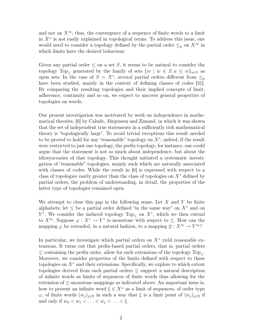and not on  $X^{\infty}$ ; thus, the convergence of a sequence of finite words to a limit in  $X^{\omega}$  is not easily explained in topological terms. To address this issue, one would need to consider a topology defined by the partial order  $\leq_{p}$  on  $X^{\infty}$  in which limits have the desired behaviour.

Given any partial order  $\leq$  on a set S, it seems to be natural to consider the topology Top<sub><</sub> generated by the family of sets  $\{w \mid w \in S, u \leq w\}_{u \in S}$  as open sets. In the case of  $S = X^*$ , several partial orders different from  $\leq_{\text{p}}$ have been studied, mainly in the context of defining classes of codes [31]. By comparing the resulting topologies and their implied concepts of limit, adherence, continuity and so on, we expect to uncover general properties of topologies on words.

Our present investigation was motivated by work on independence in mathematical theories, [6] by Calude, Jürgensen and Zimand, in which it was shown that the set of independent true statements in a sufficiently rich mathematical theory is "topologically large". To avoid trivial exceptions this result needed to be proved to hold for any "reasonable" topology on  $X^*$ ; indeed, if the result were restricted to just one topology, the prefix topology, for instance, one could argue that the statement is not so much about independence, but about the idiosyncrasies of that topology. This thought initiated a systematic investigation of "reasonable" topologies, mainly such which are naturally associated with classes of codes. While the result in  $\vert 6 \vert$  is expressed with respect to a class of topologies vastly greater than the class of topologies on  $X^*$  defined by partial orders, the problem of understanding, in detail, the properties of the latter type of topologies remained open.

We attempt to close this gap in the following sense. Let X and Y be finite alphabets; let  $\leq$  be a partial order defined "in the same way" on  $X^*$  and on  $Y^*$ . We consider the induced topology Top<sub>≤</sub> on  $X^*$ , which we then extend to  $X^{\infty}$ . Suppose  $\varphi: X^* \to Y^*$  is monotone with respect to  $\leq$ . How can the mapping  $\varphi$  be extended, in a natural fashion, to a mapping  $\overline{\varphi}: X^{\infty} \to Y^{\infty}$ ?

In particular, we investigate which partial orders on  $X^*$  yield reasonable extensions. It turns out that prefix-based partial orders, that is, partial orders  $\leq$  containing the prefix order, allow for such extensions of the topology Top<sub> $\lt$ </sub>. Moreover, we consider properties of the limits defined with respect to these topologies on  $X^*$  and their extensions. Specifically, we explore to which extent topologies derived from such partial orders  $\leq$  support a natural description of infinite words as limits of sequences of finite words thus allowing for the extension of  $\leq$ -monotone mappings as indicated above. An important issue is, how to present an infinite word  $\xi \in X^{\omega}$  as a limit of sequences, of order type  $ω$ , of finite words  $(w_i)_{i \in \mathbb{N}}$  in such a way that ξ is a limit point of  $(w_i)_{i \in \mathbb{N}}$  if and only if  $w_0 < w_1 < \ldots < w_j < \ldots < \xi$ .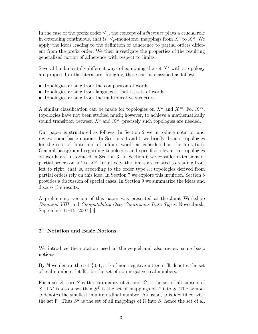In the case of the prefix order  $\leq_{p}$ , the concept of *adherence* plays a crucial rôle in extending continuous, that is,  $\leq_p$ -monotone, mappings from  $X^*$  to  $X^{\omega}$ . We apply the ideas leading to the definition of adherence to partial orders different from the prefix order. We then investigate the properties of the resulting generalized notion of adherence with respect to limits.

Several fundamentally different ways of equipping the set  $X^*$  with a topology are proposed in the literature. Roughly, these can be classified as follows:

- Topologies arising from the comparison of words.
- Topologies arising from languages, that is, sets of words.
- Topologies arising from the multiplicative structure.

A similar classification can be made for topologies on  $X^{\omega}$  and  $X^{\infty}$ . For  $X^{\infty}$ , topologies have not been studied much; however, to achieve a mathematically sound transition between  $X^*$  and  $X^{\omega}$ , precisely such topologies are needed.

Our paper is structured as follows. In Section 2 we introduce notation and review some basic notions. In Sections 4 and 5 we briefly discuss topologies for the sets of finite and of infinite words as considered in the literature. General background regarding topologies and specifics relevant to topologies on words are introduced in Section 3. In Section 6 we consider extensions of partial orders on  $X^*$  to  $X^{\omega}$ . Intuitively, the limits are related to reading from left to right, that is, according to the order type  $\omega$ ; topologies derived from partial orders rely on this idea. In Section 7 we explore this intuition. Section 8 provides a discussion of special cases. In Section 9 we summarize the ideas and discuss the results.

A preliminary version of this paper was presented at the Joint Workshop Domains VIII and Computability Over Continuous Data Types, Novosibirsk, September 11–15, 2007 [5].

## 2 Notation and Basic Notions

We introduce the notation used in the sequel and also review some basic notions.

By N we denote the set  $\{0, 1, \ldots\}$  of non-negative integers; R denotes the set of real numbers; let  $\mathbb{R}_+$  be the set of non-negative real numbers.

For a set S, card S is the cardinality of S, and  $2<sup>S</sup>$  is the set of all subsets of S. If T is also a set then  $S<sup>T</sup>$  is the set of mappings of T into S. The symbol  $\omega$  denotes the smallest infinite ordinal number. As usual,  $\omega$  is identified with the set N. Thus  $S^{\omega}$  is the set of all mappings of N into S, hence the set of all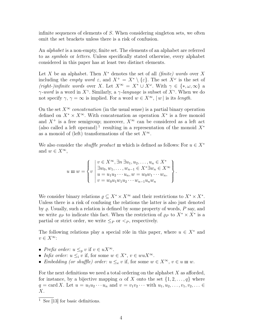infinite sequences of elements of S. When considering singleton sets, we often omit the set brackets unless there is a risk of confusion.

An *alphabet* is a non-empty, finite set. The elements of an alphabet are referred to as symbols or letters. Unless specifically stated otherwise, every alphabet considered in this paper has at least two distinct elements.

Let X be an alphabet. Then  $X^*$  denotes the set of all *(finite) words* over X including the *empty word*  $\varepsilon$ , and  $X^+ = X^* \setminus {\varepsilon}$ . The set  $X^{\omega}$  is the set of (right-)infinite words over X. Let  $X^{\infty} = X^* \cup X^{\omega}$ . With  $\gamma \in \{*, \omega, \infty\}$  a  $\gamma$ -word is a word in X<sup>γ</sup>. Similarly, a  $\gamma$ -language is subset of X<sup>γ</sup>. When we do not specify  $\gamma$ ,  $\gamma = \infty$  is implied. For a word  $w \in X^{\infty}$ ,  $|w|$  is its *length*.

On the set  $X^{\infty}$  concatenation (in the usual sense) is a partial binary operation defined on  $X^* \times X^{\infty}$ . With concatenation as operation  $X^*$  is a free monoid and  $X^+$  is a free semigroup; moreover,  $X^{\infty}$  can be considered as a left act (also called a left operand)<sup>1</sup> resulting in a representation of the monoid  $X^*$ as a monoid of (left) transformations of the set  $X^{\infty}$ .

We also consider the *shuffle product*  $\mu$  which is defined as follows: For  $u \in X^*$ and  $w \in X^{\infty}$ ,

$$
u \mathbf{m} w = \begin{Bmatrix} v \in X^{\infty}, \exists n \exists u_1, u_2, \dots, u_n \in X^* \\ \exists w_0, w_1, \dots, w_{n-1} \in X^* \exists w_n \in X^{\infty} \\ u = u_1 u_2 \cdots u_n, w = w_0 w_1 \cdots w_n, \\ v = w_0 u_1 w_1 u_2 \cdots w_{n-1} u_n w_n \end{Bmatrix}
$$

.

We consider binary relations  $\rho \subseteq X^* \times X^{\infty}$  and their restrictions to  $X^* \times X^*$ . Unless there is a risk of confusing the relations the latter is also just denoted by  $\varrho$ . Usually, such a relation is defined by some property of words,  $P$  say, and we write  $\varrho_P$  to indicate this fact. When the restriction of  $\varrho_P$  to  $X^* \times X^*$  is a partial or strict order, we write  $\leq_P$  or  $\leq_P$ , respectively.

The following relations play a special rôle in this paper, where  $u \in X^*$  and  $v \in X^{\infty}$ :

- Prefix order:  $u \leq_{p} v$  if  $v \in uX^{\infty}$ .
- Infix order:  $u \leq_i v$  if, for some  $w \in X^*$ ,  $v \in wuX^{\infty}$ .
- Embedding (or shuffle) order:  $u \leq_{e} v$  if, for some  $w \in X^{\infty}$ ,  $v \in u$  in w.

For the next definitions we need a total ordering on the alphabet  $X$  as afforded, for instance, by a bijective mapping  $\alpha$  of X onto the set  $\{1, 2, \ldots, q\}$  where  $q = \text{card } X$ . Let  $u = u_1 u_2 \cdots u_n$  and  $v = v_1 v_2 \cdots$  with  $u_1, u_2, \ldots, v_1, v_2, \ldots \in$  $X$ .

 $\overline{1}$  See [13] for basic definitions.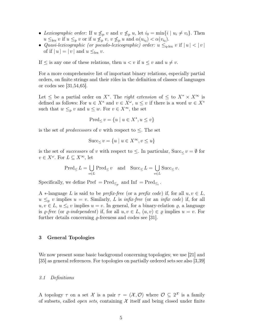- Lexicographic order: If  $u \nleq_{p} v$  and  $v \nleq_{p} u$ , let  $i_{0} = \min\{i \mid u_{i} \neq v_{i}\}.$  Then  $u \leq_{\text{lex}} v$  if  $u \leq_{p} v$  or if  $u \nleq_{p} v$ ,  $v \nleq_{p} u$  and  $\alpha(u_{i_0}) < \alpha(v_{i_0})$ .
- Quasi-lexicographic (or pseudo-lexicographic) order:  $u \leq_{q-\text{lex}} v$  if  $|u| < |v|$ of if  $|u| = |v|$  and  $u \leq_{\text{lex}} v$ .

If  $\leq$  is any one of these relations, then  $u < v$  if  $u \leq v$  and  $u \neq v$ .

For a more comprehensive list of important binary relations, especially partial orders, on finite strings and their rôles in the definition of classes of languages or codes see [31,54,65].

Let  $\leq$  be a partial order on  $X^*$ . The *right extension* of  $\leq$  to  $X^* \times X^{\infty}$  is defined as follows: For  $u \in X^*$  and  $v \in X^{\omega}$ ,  $u \leq v$  if there is a word  $w \in X^*$ such that  $w\leq_{\text{p}} v$  and  $u\leq w.$  For  $v\in X^{\infty},$  the set

$$
Pred_{\leq} v = \{ u \mid u \in X^*, u \leq v \}
$$

is the set of *predecessors* of v with respect to  $\leq$ . The set

$$
\text{Succ}_{\leq} v = \{ u \mid u \in X^{\infty}, v \leq u \}
$$

is the set of *successors* of v with respect to  $\leq$ . In particular, Succ<sub> $\lt v = \emptyset$  for</sub>  $v \in X^{\omega}$ . For  $L \subseteq X^{\infty}$ , let

$$
Pred_{\leq} L = \bigcup_{v \in L} Pred_{\leq} v \quad \text{and} \quad \text{Succ}_{\leq} L = \bigcup_{v \in L} \text{Succ}_{\leq} v.
$$

Specifically, we define  $\text{Pref} = \text{Pred}_{\leq_p}$  and  $\text{Inf} = \text{Pred}_{\leq_i}$ .

A  $*$ -language L is said to be *prefix-free* (or a *prefix code*) if, for all  $u, v \in L$ ,  $u \leq_{p} v$  implies  $u = v$ . Similarly, L is *infix-free* (or an *infix code*) if, for all  $u, v \in L$ ,  $u \leq_i v$  implies  $u = v$ . In general, for a binary-relation  $\varrho$ , a language is  $\rho$ -free (or  $\rho$ -independent) if, for all  $u, v \in L$ ,  $(u, v) \in \rho$  implies  $u = v$ . For further details concerning  $\rho$ -freeness and codes see [31].

#### 3 General Topologies

We now present some basic background concerning topologies; we use [21] and [35] as general references. For topologies on partially ordered sets see also [3,39]

#### 3.1 Definitions

A topology  $\tau$  on a set X is a pair  $\tau = (\mathcal{X}, \mathcal{O})$  where  $\mathcal{O} \subseteq 2^{\mathcal{X}}$  is a family of subsets, called *open sets*, containing  $X$  itself and being closed under finite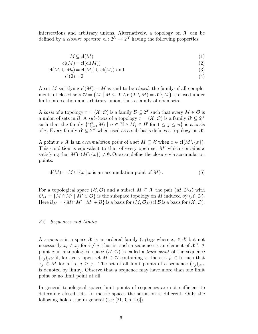intersections and arbitrary unions. Alternatively, a topology on  $\mathcal X$  can be defined by a *closure operator*  $cl: 2^{\mathcal{X}} \to 2^{\mathcal{X}}$  having the following properties:

$$
M \subseteq cl(M) \tag{1}
$$

$$
cl(M) = cl(cl(M))
$$
\n(2)

$$
cl(M_1 \cup M_2) = cl(M_1) \cup cl(M_2) \text{ and } (3)
$$

$$
cl(\emptyset) = \emptyset \tag{4}
$$

A set M satisfying  $cl(M) = M$  is said to be *closed*; the family of all complements of closed sets  $\mathcal{O} = \{M \mid M \subseteq \mathcal{X} \wedge cl(\mathcal{X} \setminus M) = \mathcal{X} \setminus M\}$  is closed under finite intersection and arbitrary union, thus a family of open sets.

A basis of a topology  $\tau = (\mathcal{X}, \mathcal{O})$  is a family  $\mathcal{B} \subseteq 2^{\mathcal{X}}$  such that every  $M \in \mathcal{O}$  is a union of sets in B. A sub-basis of a topology  $\tau = (\mathcal{X}, \mathcal{O})$  is a family  $\mathcal{B}' \subseteq 2^{\mathcal{X}}$ such that the family  $\{\bigcap_{j=1}^n M_j \mid n \in \mathbb{N} \wedge M_j \in \mathcal{B}' \text{ for } 1 \leq j \leq n\}$  is a basis of  $\tau$ . Every family  $\mathcal{B}' \subseteq 2^{\mathcal{X}}$  when used as a sub-basis defines a topology on  $\mathcal{X}$ .

A point  $x \in \mathcal{X}$  is an accumulation point of a set  $M \subseteq \mathcal{X}$  when  $x \in \text{cl}(M \setminus \{x\})$ . This condition is equivalent to that of every open set  $M'$  which contains x satisfying that  $M' \cap (M \setminus \{x\}) \neq \emptyset$ . One can define the closure via accumulation points:

$$
cl(M) = M \cup \{x \mid x \text{ is an accumulation point of } M\}.
$$
 (5)

For a topological space  $(\mathcal{X}, \mathcal{O})$  and a subset  $M \subseteq \mathcal{X}$  the pair  $(M, \mathcal{O}_M)$  with  $\mathcal{O}_M = \{ M \cap M' \mid M' \in \mathcal{O} \}$  is the subspace topology on M induced by  $(\mathcal{X}, \mathcal{O})$ . Here  $\mathcal{B}_M = \{M \cap M' \mid M' \in \mathcal{B}\}\$ is a basis for  $(M, \mathcal{O}_M)$  if  $\mathcal{B}$  is a basis for  $(\mathcal{X}, \mathcal{O})$ .

#### 3.2 Sequences and Limits

A sequence in a space X is an ordered family  $(x_i)_{i\in\mathbb{N}}$  where  $x_i \in \mathcal{X}$  but not necessarily  $x_i \neq x_j$  for  $i \neq j$ , that is, such a sequence is an element of  $\mathcal{X}^{\mathbb{N}}$ . A point x in a topological space  $(\mathcal{X}, \mathcal{O})$  is called a *limit point* of the sequence  $(x_i)_{i\in\mathbb{N}}$  if, for every open set  $M\in\mathcal{O}$  containing x, there is  $j_0\in\mathbb{N}$  such that  $x_j \in M$  for all  $j, j \geq j_0$ . The set of all limit points of a sequence  $(x_j)_{j\in\mathbb{N}}$ is denoted by  $\lim x_j$ . Observe that a sequence may have more than one limit point or no limit point at all.

In general topological spaces limit points of sequences are not sufficient to determine closed sets. In metric spaces the situation is different. Only the following holds true in general (see [21, Ch. I.6]).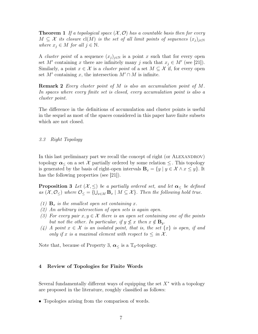**Theorem 1** If a topological space  $(X, \mathcal{O})$  has a countable basis then for every  $M \subseteq \mathcal{X}$  its closure  $cl(M)$  is the set of all limit points of sequences  $(x_i)_{i\in\mathbb{N}}$ where  $x_j \in M$  for all  $j \in \mathbb{N}$ .

A *cluster point* of a sequence  $(x_i)_{i\in\mathbb{N}}$  is a point x such that for every open set M' containing x there are infinitely many j such that  $x_j \in M'$  (see [21]). Similarly, a point  $x \in \mathcal{X}$  is a *cluster point* of a set  $M \subseteq \mathcal{X}$  if, for every open set  $M'$  containing x, the intersection  $M' \cap M$  is infinite.

**Remark 2** Every cluster point of M is also an accumulation point of M. In spaces where every finite set is closed, every accumulation point is also a cluster point.

The difference in the definitions of accumulation and cluster points is useful in the sequel as most of the spaces considered in this paper have finite subsets which are not closed.

3.3 Right Topology

In this last preliminary part we recall the concept of right (or ALEXANDROV) topology  $\alpha_{\leq}$  on a set X partially ordered by some relation  $\leq$ . This topology is generated by the basis of right-open intervals  $\mathbf{B}_x = \{y \mid y \in \mathcal{X} \land x \leq y\}$ . It has the following properties (see [21]).

**Proposition 3** Let  $(X, \leq)$  be a partially ordered set, and let  $\alpha_{\leq}$  be defined as  $(X, \mathcal{O}_{\le})$  where  $\mathcal{O}_{\le} = \{\bigcup_{x \in M} \mathbf{B}_x \mid M \subseteq \mathcal{X}\}\$ . Then the following hold true.

- (1)  $\mathbf{B}_x$  is the smallest open set containing x.
- (2) An arbitrary intersection of open sets is again open.
- (3) For every pair  $x, y \in \mathcal{X}$  there is an open set containing one of the points but not the other. In particular, if  $y \nleq x$  then  $x \notin B_y$ .
- (4) A point  $x \in \mathcal{X}$  is an isolated point, that is, the set  $\{x\}$  is open, if and only if x is a maximal element with respect to  $\leq$  in X.

Note that, because of Property 3,  $\alpha_<$  is a T<sub>0</sub>-topology.

#### 4 Review of Topologies for Finite Words

Several fundamentally different ways of equipping the set  $X^*$  with a topology are proposed in the literature, roughly classified as follows:

• Topologies arising from the comparison of words.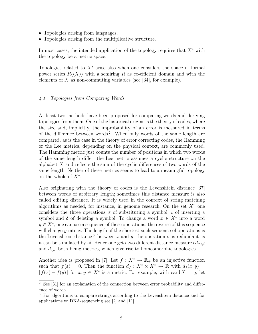- Topologies arising from languages.
- Topologies arising from the multiplicative structure.

In most cases, the intended application of the topology requires that  $X^*$  with the topology be a metric space.

Topologies related to  $X^*$  arise also when one considers the space of formal power series  $R\langle\langle X\rangle\rangle$  with a semiring R as co-efficient domain and with the elements of  $X$  as non-commuting variables (see [34], for example).

#### 4.1 Topologies from Comparing Words

At least two methods have been proposed for comparing words and deriving topologies from them. One of the historical origins is the theory of codes, where the size and, implicitly, the improbability of an error is measured in terms of the difference between words<sup>2</sup>. When only words of the same length are compared, as is the case in the theory of error correcting codes, the Hamming or the Lee metrics, depending on the physical context, are commonly used. The Hamming metric just counts the number of positions in which two words of the same length differ; the Lee metric assumes a cyclic structure on the alphabet  $X$  and reflects the sum of the cyclic differences of two words of the same length. Neither of these metrics seems to lead to a meaningful topology on the whole of  $X^*$ .

Also originating with the theory of codes is the Levenshtein distance [37] between words of arbitrary length; sometimes this distance measure is also called editing distance. It is widely used in the context of string matching algorithms as needed, for instance, in genome research. On the set  $X^*$  one considers the three operations  $\sigma$  of substituting a symbol,  $\iota$  of inserting a symbol and  $\delta$  of deleting a symbol. To change a word  $x \in X^*$  into a word  $y \in X^*$ , one can use a sequence of these operations; the reverse of this sequence will change  $y$  into  $x$ . The length of the shortest such sequence of operations is the Levenshtein distance<sup>3</sup> between x and y; the operation  $\sigma$  is redundant as it can be simulated by  $\iota\delta$ . Hence one gets two different distance measures  $d_{\sigma,\iota,\delta}$ and  $d_{\iota,\delta}$ , both being metrics, which give rise to homeomorphic topologies.

Another idea is proposed in [7]. Let  $f: X^* \to \mathbb{R}_+$  be an injective function such that  $f(\varepsilon) = 0$ . Then the function  $d_f: X^* \times X^* \to \mathbb{R}$  with  $d_f(x, y) =$  $| f(x) - f(y) |$  for  $x, y \in X^*$  is a metric. For example, with card  $X = q$ , let

 $\sqrt{2}$  See [31] for an explanation of the connection between error probability and difference of words.

<sup>3</sup> For algorithms to compare strings according to the Levenshtein distance and for applications to DNA-sequencing see [2] and [11].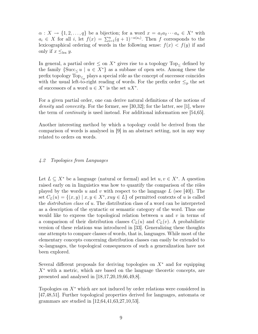$\alpha: X \to \{1, 2, \ldots, q\}$  be a bijection; for a word  $x = a_1 a_2 \cdots a_n \in X^*$  with  $a_i \in X$  for all i, let  $f(x) = \sum_{i=1}^n (q+1)^{-\alpha(a_i)}$ . Then f corresponds to the lexicographical ordering of words in the following sense:  $f(x) < f(y)$  if and only if  $x \leq_{\text{lex}} y$ .

In general, a partial order  $\leq$  on  $X^*$  gives rise to a topology  $Top_{\leq}$  defined by the family  $\{\text{Succ}_{\leq} u \mid u \in X^*\}$  as a subbase of open sets. Among these the prefix topology  $Top_{\leq_p}$  plays a special rôle as the concept of successor coincides with the usual left-to-right reading of words. For the prefix order  $\leq_p$  the set of successors of a word  $u \in X^*$  is the set  $uX^*$ .

For a given partial order, one can derive natural definitions of the notions of density and *convexity*. For the former, see [30,32]; for the latter, see [1], where the term of continuity is used instead. For additional information see [54,65].

Another interesting method by which a topology could be derived from the comparison of words is analysed in [9] in an abstract setting, not in any way related to orders on words.

#### 4.2 Topologies from Languages

Let  $L \subseteq X^*$  be a language (natural or formal) and let  $u, v \in X^*$ . A question raised early on in linguistics was how to quantify the comparison of the rôles played by the words u and v with respect to the language L (see [40]). The set  $C_L(u) = \{(x, y) \mid x, y \in X^*, xuy \in L\}$  of permitted contexts of u is called the distribution class of u. The distribution class of a word can be interpreted as a description of the syntactic or semantic category of the word. Thus one would like to express the topological relation between  $u$  and  $v$  in terms of a comparison of their distribution classes  $C<sub>L</sub>(u)$  and  $C<sub>L</sub>(v)$ . A probabilistic version of these relations was introduced in [33]. Generalizing these thoughts one attempts to compare classes of words, that is, languages. While most of the elementary concepts concerning distribution classes can easily be extended to ∞-languages, the topological consequences of such a generalization have not been explored.

Several different proposals for deriving topologies on  $X^*$  and for equipping  $X^*$  with a metric, which are based on the language theoretic concepts, are presented and analysed in [18,17,20,19,66,49,8].

Topologies on  $X^*$  which are not induced by order relations were considered in [47,48,51]. Further topological properties derived for languages, automata or grammars are studied in [12,64,41,63,27,10,53].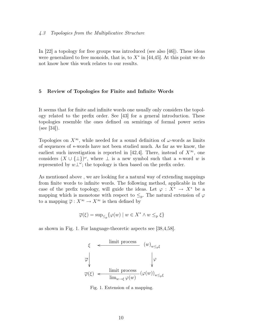#### 4.3 Topologies from the Multiplicative Structure

In [22] a topology for free groups was introduced (see also [46]). These ideas were generalized to free monoids, that is, to  $X^*$  in [44,45]. At this point we do not know how this work relates to our results.

#### 5 Review of Topologies for Finite and Infinite Words

It seems that for finite and infinite words one usually only considers the topology related to the prefix order. See [43] for a general introduction. These topologies resemble the ones defined on semirings of formal power series (see [34]).

Topologies on  $X^{\infty}$ , while needed for a sound definition of  $\omega$ -words as limits of sequences of ∗-words have not been studied much. As far as we know, the earliest such investigation is reported in [42,4]. There, instead of  $X^{\infty}$ , one considers  $(X \cup {\{\perp\}})^\omega$ , where  $\perp$  is a new symbol such that a ∗-word w is represented by  $w\perp^{\omega}$ ; the topology is then based on the prefix order.

As mentioned above , we are looking for a natural way of extending mappings from finite words to infinite words. The following method, applicable in the case of the prefix topology, will guide the ideas. Let  $\varphi : X^* \to X^*$  be a mapping which is monotone with respect to  $\leq_p.$  The natural extension of  $\varphi$ to a mapping  $\overline{\varphi}: X^{\infty} \to X^{\infty}$  is then defined by

$$
\overline{\varphi}(\xi) = \sup_{\leq p} \{ \varphi(w) \mid w \in X^* \wedge w \leq_p \xi \}
$$

as shown in Fig. 1. For language-theoretic aspects see [38,4,58].



Fig. 1. Extension of a mapping.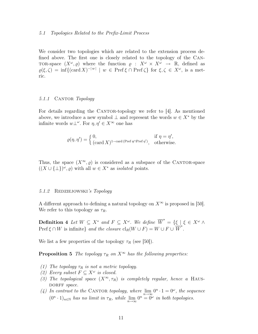#### 5.1 Topologies Related to the Prefix-Limit Process

We consider two topologies which are related to the extension process defined above. The first one is closely related to the topology of the Can-TOR-space  $(X^{\omega}, \varrho)$  where the function  $\varrho : X^{\omega} \times X^{\omega} \to \mathbb{R}$ , defined as  $\varrho(\xi,\zeta) = \inf\{(\text{card } X)^{-|w|} \mid w \in \text{Pref }\xi \cap \text{Pref }\zeta\} \text{ for } \xi,\zeta \in X^{\omega}, \text{ is a met$ ric.

#### 5.1.1 CANTOR Topology

For details regarding the CANTOR-topology we refer to  $[4]$ . As mentioned above, we introduce a new symbol  $\perp$  and represent the words  $w \in X^*$  by the infinite words  $w\perp^{\omega}$ . For  $\eta, \eta' \in X^{\infty}$  one has

$$
\varrho(\eta,\eta') = \begin{cases} 0, & \text{if } \eta = \eta', \\ (\text{card } X)^{1-\text{card (Pref }\eta \cap \text{Pref }\eta')}, & \text{otherwise.} \end{cases}
$$

Thus, the space  $(X^{\infty}, \rho)$  is considered as a subspace of the CANTOR-space  $((X \cup {\{\perp\}})^{\omega}, \varrho)$  with all  $w \in X^*$  as *isolated* points.

#### 5.1.2 REDZIEJOWSKI's Topology

A different approach to defining a natural topology on  $X^{\infty}$  is proposed in [50]. We refer to this topology as  $\tau_R$ .

**Definition 4** Let  $W \subseteq X^*$  and  $F \subseteq X^{\omega}$ . We define  $\overrightarrow{W} = {\xi \mid \xi \in X^{\omega} \land \eta}$  $\text{Pref} \xi \cap W$  is infinite} and the closure  $\text{cl}_R(W \cup F) = W \cup F \cup \overline{W}$ .

We list a few properties of the topology  $\tau_R$  (see [50]).

**Proposition 5** The topology  $\tau_R$  on  $X^{\infty}$  has the following properties:

- (1) The topology  $\tau_R$  is not a metric topology.
- (2) Every subset  $F \subseteq X^{\omega}$  is closed.
- (3) The topological space  $(X^{\infty}, \tau_R)$  is completely regular, hence a HAUS-DORFF space.
- (4) In contrast to the CANTOR topology, where  $\lim_{n\to\infty} 0^n \cdot 1 = 0^\omega$ , the sequence  $(0^n \tcdot 1)_{n \in \mathbb{N}}$  has no limit in  $\tau_R$ , while  $\lim_{n \to \infty} 0^n = 0^\omega$  in both topologies.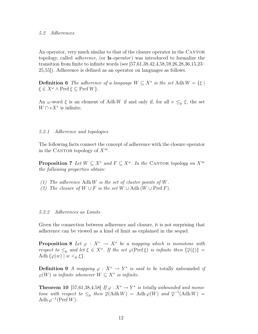#### 5.2 Adherences

An operator, very much similar to that of the closure operator in the CANTOR topology, called *adherence*, (or **ls**-*operator*) was introduced to formalize the transition from finite to infinite words (see [57,61,38,42,4,58,59,26,28,36,15,23– 25,55]). Adherence is defined as an operator on languages as follows.

**Definition 6** The adherence of a language  $W \subseteq X^*$  is the set Adh  $W = \{\xi \mid$  $\xi \in X^{\omega} \wedge \text{Pref} \xi \subseteq \text{Pref} W$ .

An  $\omega$ -word  $\xi$  is an element of Adh W if and only if, for all  $v \leq_{p} \xi$ , the set  $W \cap vX^*$  is infinite.

#### 5.2.1 Adherence and topologies

The following facts connect the concept of adherence with the closure operator in the CANTOR topology of  $X^{\infty}$ .

**Proposition 7** Let  $W \subseteq X^*$  and  $F \subseteq X^{\omega}$ . In the CANTOR topology on  $X^{\infty}$ the following properties obtain:

- (1) The adherence Adh W is the set of cluster points of W.
- (2) The closure of  $W \cup F$  is the set  $W \cup$  Adh  $(W \cup$  Pref F).

#### 5.2.2 Adherences as Limits

Given the connection between adherence and closure, it is not surprising that adherence can be viewed as a kind of limit as explained in the sequel.

**Proposition 8** Let  $\varphi : X^* \to X^*$  be a mapping which is monotone with respect to  $\leq_{p}$  and let  $\xi \in X^{\omega}$ . If the set  $\varphi(\text{Pref}\,\xi)$  is infinite then  $\{\overline{\varphi}(\xi)\}$  = Adh  $\{\varphi(w) \mid w <_{\mathbf{p}} \xi\}.$ 

**Definition 9** A mapping  $\varphi : X^* \to Y^*$  is said to be totally unbounded if  $\varphi(W)$  is infinite whenever  $W \subseteq X^*$  is infinite.

**Theorem 10** [57,61,38,4,58] If  $\varphi : X^* \to Y^*$  is totally unbounded and monotone with respect to  $\leq_{\text{p}}$  then  $\overline{\varphi}(\text{Adh} W) = \text{Adh} \varphi(W)$  and  $\overline{\varphi}^{-1}(\text{Adh} W) =$ Adh  $\varphi^{-1}$ (Pref W).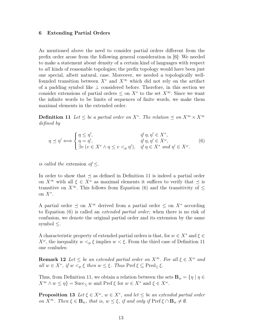#### 6 Extending Partial Orders

As mentioned above the need to consider partial orders different from the prefix order arose from the following general consideration in [6]: We needed to make a statement about density of a certain kind of languages with respect to all kinds of reasonable topologies; the prefix topology would have been just one special, albeit natural, case. Moreover, we needed a topologically wellfounded transition between  $X^*$  and  $X^{\infty}$  which did not rely on the artifact of a padding symbol like ⊥ considered before. Therefore, in this section we consider extensions of partial orders  $\leq$  on  $X^*$  to the set  $X^{\infty}$ . Since we want the infinite words to be limits of sequences of finite words, we make them maximal elements in the extended order.

**Definition 11** Let  $\leq$  be a partial order on  $X^*$ . The relation  $\preceq$  on  $X^{\infty} \times X^{\infty}$ defined by

$$
\eta \preceq \eta' \Longleftrightarrow \begin{cases} \eta \leq \eta', & \text{if } \eta, \eta' \in X^*, \\ \eta = \eta', & \text{if } \eta, \eta' \in X^\omega, \\ \exists v \ (v \in X^* \land \eta \leq v <_{\text{p}} \eta'), & \text{if } \eta \in X^* \text{ and } \eta' \in X^\omega. \end{cases} \tag{6}
$$

is called the extension of  $\leq$ .

In order to show that  $\preceq$  as defined in Definition 11 is indeed a partial order on  $X^{\infty}$  with all  $\xi \in X^{\omega}$  as maximal elements it suffices to verify that  $\preceq$  is transitive on  $X^{\infty}$ . This follows from Equation (6) and the transitivity of  $\leq$ on  $X^*$ .

A partial order  $\leq$  on  $X^{\infty}$  derived from a partial order  $\leq$  on  $X^*$  according to Equation (6) is called an extended partial order; when there is no risk of confusion, we denote the original partial order and its extension by the same symbol  $\leq$ .

A characteristic property of extended partial orders is that, for  $w \in X^*$  and  $\xi \in$  $X^{\omega}$ , the inequality  $w <_{p} \xi$  implies  $w < \xi$ . From the third case of Definition 11 one conludes:

**Remark 12** Let  $\leq$  be an extended partial order on  $X^{\infty}$ . For all  $\xi \in X^{\omega}$  and all  $w \in X^*$ , if  $w <_{p} \xi$  then  $w \leq \xi$ . Thus Pref  $\xi \subseteq \text{Pred}_{\leq} \xi$ .

Thus, from Definition 11, we obtain a relation between the sets  $\mathbf{B}_w = \{ \eta \mid \eta \in \mathbb{R} \}$  $X^{\infty} \wedge w \leq \eta$  = Succ<sub>≤</sub> w and Pref  $\xi$  for  $w \in X^*$  and  $\xi \in X^{\omega}$ .

**Proposition 13** Let  $\xi \in X^{\omega}$ ,  $w \in X^*$ , and let  $\leq$  be an extended partial order on  $X^{\infty}$ . Then  $\xi \in \mathbf{B}_w$ , that is,  $w \leq \xi$ , if and only if  $\text{Pref} \xi \cap \mathbf{B}_w \neq \emptyset$ .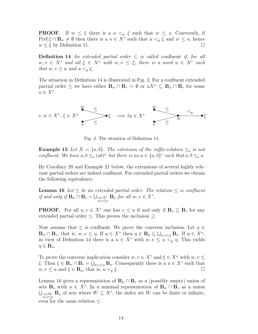**PROOF.** If  $w \leq \xi$  there is a  $u <_{p} \xi$  such that  $w \leq u$ . Conversely, if Pref  $\xi \cap \mathbf{B}_w \neq \emptyset$  then there is a  $u \in X^*$  such that  $u <_{p} \xi$  and  $w \leq u$ ; hence  $w \leq \xi$  by Definition 11.

**Definition 14** An extended partial order  $\leq$  is called confluent if, for all  $w, v \in X^*$  and all  $\xi \in X^{\omega}$  with  $w, v \leq \xi$ , there is a word  $u \in X^*$  such that  $w, v \leq u$  and  $u <_{p} \xi$ .

The situation in Definition 14 is illustrated in Fig. 2. For a confluent extended partial order  $\leq$  we have either  $\mathbf{B}_w \cap \mathbf{B}_v = \emptyset$  or  $uX^{\omega} \subseteq \mathbf{B}_w \cap \mathbf{B}_v$  for some  $u \in X^*$ .



Fig. 2. The situation of Definition 14.

**Example 15** Let  $X = \{a, b\}$ . The extension of the suffix-relation  $\leq_s$  is not confluent. We have  $a, b \leq_{s} (ab)^{\omega}$  but there is no  $u \in \{a, b\}^*$  such that  $a, b \leq_{s} u$ .

By Corollary 20 and Example 21 below, the extensions of several highly relevant partial orders are indeed confluent. For extended partial orders we obtain the following equivalence.

**Lemma 16** Let  $\leq$  be an extended partial order. The relation  $\leq$  is confluent if and only if  $\mathbf{B}_w \cap \mathbf{B}_v = \bigcup_{\substack{u \in X^* \\ w,v \leq u}} \mathbf{B}_u$  for all  $w, v \in X^*$ .

**PROOF.** For all  $u, v \in X^*$  one has  $v \leq u$  if and only if  $\mathbf{B}_u \subseteq \mathbf{B}_v$  for any extended partial order ≤. This proves the inclusion ⊇.

Now assume that  $\leq$  is confluent. We prove the converse inclusion. Let  $\eta \in$  $\mathbf{B}_w \cap \mathbf{B}_v$ , that is,  $w, v \leq \eta$ . If  $\eta \in X^*$  then  $\eta \in \mathbf{B}_{\eta} \subseteq \bigcup_{w,v \leq u} \mathbf{B}_u$ . If  $\eta \in X^{\omega}$ , in view of Definition 14 there is a  $u \in X^*$  with  $w, v \leq u \leq_p \eta$ . This yields  $\eta \in \mathbf{B}_u$ .

To prove the converse implication consider  $w, v \in X^*$  and  $\xi \in X^{\omega}$  with  $w, v \leq$ ξ. Then  $\xi \in \mathbf{B}_w \cap \mathbf{B}_v = \bigcup_{w,v \leq u} \mathbf{B}_u$ . Consequently there is a  $u \in X^*$  such that  $w, v \leq u$  and  $\xi \in \mathbf{B}_u$ , that is,  $u <_{p} \xi$ .

Lemma 16 gives a representation of  ${\bf B}_w \cap {\bf B}_v$  as a (possibly empty) union of sets  $\mathbf{B}_u$  with  $u \in X^*$ . In a minimal representation of  $\mathbf{B}_w \cap \mathbf{B}_v$  as a union  $\bigcup_{\substack{u \in W \\ w,v \leq u}} \mathbf{B}_u$  of sets where  $W \subseteq X^*$ , the index set W can be finite or infinite, even for the same relation  $\leq$ .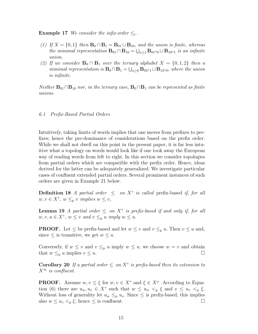**Example 17** We consider the infix-order  $\leq_i$ .

- (1) If  $X = \{0, 1\}$  then  $\mathbf{B}_0 \cap \mathbf{B}_1 = \mathbf{B}_{01} \cup \mathbf{B}_{10}$ , and the union is finite, whereas the minimal representation  $B_{01} \cap B_{10} = \bigcup_{n \geq 1} B_{01^n} \cup B_{10^n}$  is an infinite union.
- (2) If we consider  $\mathbf{B}_0 \cap \mathbf{B}_1$  over the ternary alphabet  $X = \{0, 1, 2\}$  then a minimal representation is  $B_0 \cap B_1 = \bigcup_{n \geq 0} B_{02^n} \cup B_{12^n}$ , where the union is infinite.

*Neither*  $B_{01} ∩ B_{10}$  nor, in the ternary case,  $B_0 ∩ B_1$  can be represented as finite unions.

#### 6.1 Prefix-Based Partial Orders

Intuitively, taking limits of words implies that one moves from prefixes to prefixes; hence the pre-dominance of considerations based on the prefix order. While we shall not dwell on this point in the present paper, it is far less intuitive what a topology on words would look like if one took away the European way of reading words from left to right. In this section we consider topologies from partial orders which are compatible with the prefix order. Hence, ideas derived for the latter can be adequately generalized. We investigate particular cases of confluent extended partial orders. Several prominent instances of such orders are given in Example 21 below.

**Definition 18** A partial order  $\leq$  on  $X^*$  is called prefix-based if, for all  $w, v \in X^*, w \leq_{p} v \implies w \leq v,$ 

**Lemma 19** A partial order  $\leq$  on  $X^*$  is prefix-based if and only if, for all  $w, v, u \in X^*$ ,  $w \leq v$  and  $v \leq_{p} u$  imply  $w \leq u$ .

**PROOF.** Let  $\leq$  be prefix-based and let  $w \leq v$  and  $v \leq_p u$ . Then  $v \leq u$  and, since  $\leq$  is transitive, we get  $w \leq u$ .

Conversely, if  $w \leq v$  and  $v \leq_{p} u$  imply  $w \leq u$ , we choose  $w = v$  and obtain that  $w \leq_{p} u$  implies  $v \leq u$ .

Corollary 20 If a partial order  $\leq$  on  $X^*$  is prefix-based then its extension to  $X^{\infty}$  is confluent.

**PROOF.** Assume  $w, v \leq \xi$  for  $w, v \in X^*$  and  $\xi \in X^{\omega}$ . According to Equation (6) there are  $u_w, u_v \in X^*$  such that  $w \leq u_w \leq_{\mathfrak{p}} \xi$  and  $v \leq u_v \leq_{\mathfrak{p}} \xi$ . Without loss of generality let  $u_w \n\leq_p u_v$ . Since  $\leq$  is prefix-based, this implies also  $w \leq u_v \leq_p \xi$ ; hence  $\leq$  is confluent.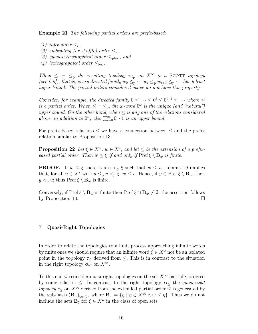Example 21 The following partial orders are prefix-based:

- (1) infix-order  $\leq_i$ ,
- (2) embedding (or shuffle) order  $\leq_e$ ,
- (3) quasi-lexicographical order  $\leq_{q-\text{lex}}$ , and
- (4) lexicographical order  $\leq_{\text{lex}}$ .

When  $\leq$  =  $\leq_p$  the resulting topology  $\tau_{\leq_p}$  on  $X^{\infty}$  is a SCOTT topology (see [56]), that is, every directed family  $w_0 \leq_p \cdots w_i \leq_p w_{i+1} \leq_p \cdots$  has a least upper bound. The partial orders considered above do not have this property.

Consider, for example, the directed family  $0 \leq \cdots \leq 0^i \leq 0^{i+1} \leq \cdots$  where  $\leq$ is a partial order. When  $\leq \leq_{\rm p}$ , the  $\omega$ -word  $0^{\omega}$  is the unique (and "natural") upper bound. On the other hand, when  $\leq$  is any one of the relations considered above, in addition to  $0^{\omega}$ , also  $\prod_{i=0}^{\infty} 0^i \cdot 1$  is an upper bound.

For prefix-based relations  $\leq$  we have a connection between  $\leq$  and the prefix relation similar to Proposition 13.

**Proposition 22** Let  $\xi \in X^{\omega}$ ,  $w \in X^*$ , and let  $\leq$  be the extension of a prefixbased partial order. Then  $w \leq \xi$  if and only if  $\text{Pref} \xi \setminus \mathbf{B}_w$  is finite.

**PROOF.** If  $w \leq \xi$  there is a  $u \leq_{p} \xi$  such that  $w \leq u$ . Lemma 19 implies that, for all  $v \in X^*$  with  $u \leq_{p} v <_{p} \xi$ ,  $w \leq v$ . Hence, if  $y \in \text{Pref} \xi \setminus \mathbf{B}_w$ , then  $y <_{p} u$ ; thus Pref  $\xi \setminus \mathbf{B}_{w}$  is finite.

Conversely, if Pref  $\xi \setminus \mathbf{B}_w$  is finite then Pref  $\xi \cap \mathbf{B}_w \neq \emptyset$ ; the assertion follows by Proposition 13.  $\Box$ 

#### 7 Quasi-Right Topologies

In order to relate the topologies to a limit process approaching infinite words by finite ones we should require that an infinite word  $\xi \in X^{\omega}$  not be an isolated point in the topology  $\tau_{\leq}$  derived from  $\leq$ . This is in contrast to the situation in the right topology  $\boldsymbol{\alpha}$  on  $X^{\infty}$ .

To this end we consider quasi-right topologies on the set  $X^{\infty}$  partially ordered by some relation  $\leq$ . In contrast to the right topology  $\alpha_{\leq}$  the quasi-right topology  $\tau_{\leq}$  on  $X^{\infty}$  derived from the extended partial order  $\leq$  is generated by the sub-basis  $(\mathbf{B}_w)_{w \in X^*}$  where  $\mathbf{B}_w = \{\eta \mid \eta \in X^\infty \wedge w \leq \eta\}$ . Thus we do not include the sets  $\mathbf{B}_{\xi}$  for  $\xi \in X^{\omega}$  in the class of open sets.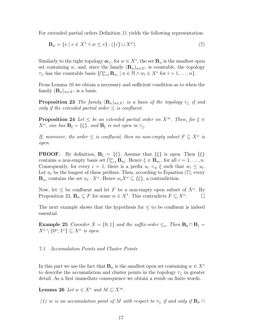For extended partial orders Definition 11 yields the following representation:

$$
\mathbf{B}_w = \{ v \mid v \in X^* \land w \le v \} \cdot (\{\varepsilon\} \cup X^\omega). \tag{7}
$$

Similarly to the right topology  $\boldsymbol{\alpha}_{\leq}$ , for  $w \in X^*$ , the set  $\mathbf{B}_w$  is the smallest open set containing w, and, since the family  $(\mathbf{B}_w)_{w \in X^*}$  is countable, the topology  $\tau_{\leq}$  has the countable basis  $\{\bigcap_{i=1}^{n} \mathbf{B}_{w_i} \mid n \in \mathbb{N} \land w_i \in X^* \text{ for } i = 1, \ldots, n\}.$ 

From Lemma 16 we obtain a necessary and sufficient condition as to when the family  $(\mathbf{B}_w)_{w \in X^*}$  is a basis.

**Proposition 23** The family  $(\mathbf{B}_w)_{w \in X^*}$  is a basis of the topology  $\tau$  if and only if the extended partial order  $\leq$  is confluent.

**Proposition 24** Let  $\leq$  be an extended partial order on  $X^{\infty}$ . Then, for  $\xi \in$  $X^{\omega}$ , one has  $\mathbf{B}_{\xi} = {\xi}$ , and  $\mathbf{B}_{\xi}$  is not open in  $\tau \leq \xi$ .

If, moreover, the order  $\leq$  is confluent, then no non-empty subset  $F \subseteq X^{\omega}$  is open.

**PROOF.** By definition,  $B_{\xi} = {\xi}$ . Assume that  ${\xi}$  is open. Then  ${\xi}$ contains a non-empty basis set  $\bigcap_{i=1}^n \mathbf{B}_{w_i}$ . Hence  $\xi \in \mathbf{B}_{w_i}$ , for all  $i = 1, \ldots, n$ . Consequently, for every  $i = 1$ , there is a prefix  $u_i < p \xi$  such that  $w_i \leq u_i$ . Let  $u_1$  be the longest of these prefixes. Then, according to Equation (7), every  $\mathbf{B}_{w_i}$  contains the set  $u_1 \cdot X^{\omega}$ . Hence  $u_1 X^{\omega} \subseteq {\{\xi\}}$ , a contradiction.

Now, let  $\leq$  be confluent and let F be a non-empty open subset of  $X^{\omega}$ . By Proposition 23,  $\mathbf{B}_w \subseteq F$  for some  $w \in X^*$ . This contradicts  $F \subseteq X^{\omega}$  $\Box$ 

The next example shows that the hypothesis for  $\leq$  to be confluent is indeed essential.

**Example 25** Consider  $X = \{0, 1\}$  and the suffix-order  $\leq_s$ . Then  $\mathbf{B}_0 \cap \mathbf{B}_1 =$  $X^{\omega} \setminus \{0^{\omega}, 1^{\omega}\} \subseteq X^{\omega}$  is open.

#### 7.1 Accumulation Points and Cluster Points

In this part we use the fact that  $\mathbf{B}_w$  is the smallest open set containing  $w \in X^*$ to describe the accumulation and cluster points in the topology  $\tau_{\leq}$  in greater detail. As a first immediate consequence we obtain a result on finite words.

**Lemma 26** Let  $w \in X^*$  and  $M \subseteq X^\infty$ .

(1) w is an accumulation point of M with respect to  $\tau<$  if and only if  $\mathbf{B}_w \cap$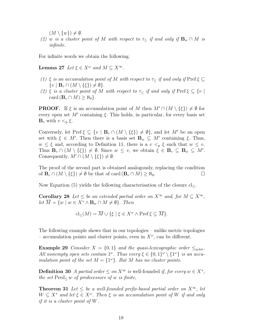$(M \setminus \{w\}) \neq \emptyset.$ 

(2) w is a cluster point of M with respect to  $\tau < i f$  and only if  ${\bf B}_w \cap M$  is infinite.

For infinite words we obtain the following.

**Lemma 27** Let  $\xi \in X^{\omega}$  and  $M \subseteq X^{\infty}$ .

- (1) ξ is an accumulation point of M with respect to  $\tau<$  if and only if Pref  $\xi\subseteq$  $\{v \mid \mathbf{B}_v \cap (M \setminus \{\xi\}) \neq \emptyset\}.$
- (2) ξ is a cluster point of M with respect to  $\tau < i f$  and only if Pref  $\xi \subseteq \{v \mid$ card  $(\mathbf{B}_v \cap M) \geq \aleph_0$ .

**PROOF.** If  $\xi$  is an accumulation point of M then  $M' \cap (M \setminus \{\xi\}) \neq \emptyset$  for every open set  $M'$  containing  $\xi$ . This holds, in particular, for every basis set  $\mathbf{B}_v$  with  $v <_{p} \xi$ .

Conversely, let Pref  $\xi \subseteq \{v \mid \mathbf{B}_v \cap (M \setminus \{\xi\}) \neq \emptyset\}$ , and let M' be an open set with  $\xi \in M'$ . Then there is a basis set  $\mathbf{B}_w \subseteq M'$  containing  $\xi$ . Thus,  $w \leq \xi$  and, according to Definition 11, there is a  $v <_{p} \xi$  such that  $w \leq v$ . Thus  $\mathbf{B}_v \cap (M \setminus \{\xi\}) \neq \emptyset$ . Since  $w \leq v$ , we obtain  $\xi \in \mathbf{B}_v \subseteq \mathbf{B}_w \subseteq M'$ . Consequently,  $M' \cap (M \setminus \{\xi\}) \neq \emptyset$ .

The proof of the second part is obtained analogously, replacing the condition of  $\mathbf{B}_v \cap (M \setminus \{\xi\}) \neq \emptyset$  by that of card  $(\mathbf{B}_v \cap M) \geq \aleph_0$ .

Now Equation  $(5)$  yields the following characterisation of the closure cl<.

**Corollary 28** Let  $\leq$  be an extended partial order on  $X^{\infty}$  and, for  $M \subseteq X^{\infty}$ , let  $\overline{M} = \{w \mid w \in X^* \wedge \mathbf{B}_w \cap M \neq \emptyset\}.$  Then

$$
\mathrm{cl}_{\leq}(M) = \overline{M} \cup \{\xi \mid \xi \in X^{\omega} \wedge \mathrm{Pref} \xi \subseteq \overline{M}\}.
$$

The following example shows that in our topologies – unlike metric topologies – accumulation points and cluster points, even in  $X^{\omega}$ , can be different.

**Example 29** Consider  $X = \{0, 1\}$  and the quasi-lexicographic order  $\leq_{q-\text{lex}}$ . All nonempty open sets contain  $1^\omega$ . Thus every  $\xi \in \{0,1\}^\omega \setminus \{1^\omega\}$  is an accumulation point of the set  $M = \{1^{\omega}\}\$ . But M has no cluster points.

**Definition 30** A partial order  $\leq$  on  $X^{\infty}$  is well-founded if, for every  $w \in X^*$ , the set  $Pred<sub><</sub> w$  of predecessors of w is finite,

**Theorem 31** Let  $\leq$  be a well-founded prefix-based partial order on  $X^{\infty}$ , let  $W \subseteq X^*$  and let  $\xi \in X^{\omega}$ . Then  $\xi$  is an accumulation point of W if and only if it is a cluster point of W.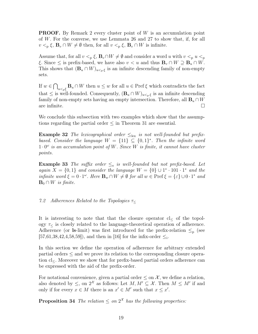**PROOF.** By Remark 2 every cluster point of W is an accumulation point of W. For the converse, we use Lemmata 26 and 27 to show that, if, for all  $v <_{p} \xi$ ,  $\mathbf{B}_{v} \cap W \neq \emptyset$  then, for all  $v <_{p} \xi$ ,  $\mathbf{B}_{v} \cap W$  is infinite.

Assume that, for all  $v <_{p} \xi$ ,  $\mathbf{B}_{v} \cap W \neq \emptyset$  and consider a word u with  $v <_{p} u <_{p}$ ξ. Since  $\leq$  is prefix-based, we have also  $v < u$  and thus  $\mathbf{B}_v \cap W \supseteq \mathbf{B}_u \cap W$ . This shows that  $(\mathbf{B}_u \cap W)_{u \leq p \xi}$  is an infinite descending family of non-empty sets.

If  $w \in \bigcap$  $u_{\leq p\xi}$  **B**<sub>u</sub> ∩ *W* then  $u \leq w$  for all  $u \in \text{Pref} \xi$  which contradicts the fact that  $\leq$  is well-founded. Consequently,  $(\mathbf{B}_u \cap W)_{u \leq p \xi}$  is an infinite descending family of non-empty sets having an empty intersection. Therefore, all  ${\bf B}_u \cap W$ are infinite.  $\Box$ 

We conclude this subsection with two examples which show that the assumptions regarding the partial order ≤ in Theorem 31 are essential.

**Example 32** The lexicographical order  $\leq_{\text{lex}}$  is not well-founded but prefixbased. Consider the language  $W = \{11\} \subseteq \{0,1\}^*$ . Then the infinite word  $1 \cdot 0^{\omega}$  is an accumulation point of W. Since W is finite, it cannot have cluster points.

**Example 33** The suffix order  $\leq_s$  is well-founded but not prefix-based. Let again  $X = \{0, 1\}$  and consider the language  $W = \{0\} \cup 1^* \cdot 101 \cdot 1^*$  and the infinite word  $\xi = 0 \cdot 1^{\omega}$ . Here  $\mathbf{B}_w \cap W \neq \emptyset$  for all  $w \in \text{Pref} \xi = \{\varepsilon\} \cup 0 \cdot 1^*$  and  $\mathbf{B}_0 \cap W$  is finite.

### 7.2 Adherences Related to the Topologies  $\tau$ <

It is interesting to note that that the closure operator  $cl$  of the topology  $\tau_{\leq}$  is closely related to the language-theoretical operation of adherence. Adherence (or ls-limit) was first introduced for the prefix-relation  $\leq_{p}$  (see  $[57,61,38,42,4,58,59]$ , and then in [16] for the infix-order  $\leq_i$ .

In this section we define the operation of adherence for arbitrary extended  $\text{partial orders} \leq \text{and we prove its relation to the corresponding closure opera-}$ tion cl≤. Moreover we show that for prefix-based partial orders adherence can be expressed with the aid of the prefix-order.

For notational convenience, given a partial order  $\leq$  on  $\mathcal{X}$ , we define a relation, also denoted by  $\leq$ , on  $2^{\mathcal{X}}$  as follows: Let  $M, M' \subseteq \mathcal{X}$ . Then  $M \leq M'$  if and only if for every  $x \in M$  there is an  $x' \in M'$  such that  $x \leq x'$ .

**Proposition 34** The relation  $\leq$  on  $2^{\mathcal{X}}$  has the following properties: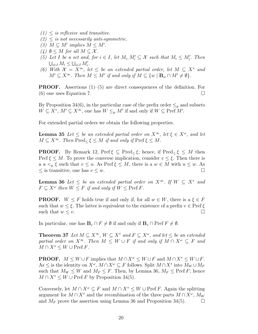- $(1)$  < is reflexive and transitive.
- $(2) \leq$  is not necessarily anti-symmetric.
- (3)  $M \subseteq M'$  implies  $M \leq M'$ .
- $(4)$   $\emptyset \leq M$  for all  $M \subseteq \mathcal{X}$ .
- (5) Let I be a set and, for  $i \in I$ , let  $M_i, M'_i \subseteq \mathcal{X}$  such that  $M_i \leq M'_i$ . Then  $\bigcup_{i\in I} M_i \leq \bigcup_{i\in I} M'_i.$
- (6) With  $\mathcal{X} = X^{\infty}$ , let  $\leq$  be an extended partial order, let  $M \subseteq X^*$  and  $M' \subseteq X^{\infty}$ . Then  $M \leq M'$  if and only if  $M \subseteq \{w \mid \mathbf{B}_w \cap M' \neq \emptyset\}$ .

**PROOF.** Assertions  $(1)$ – $(5)$  are direct consequences of the definition. For (6) one uses Equation 7.  $\Box$ 

By Proposition 34(6), in the particular case of the prefix order  $\leq_{p}$  and subsets  $W \subseteq X^*$ ,  $M' \subseteq X^{\infty}$ , one has  $W \leq_{\text{p}} M'$  if and only if  $W \subseteq \text{Pref } M'$ .

For extended partial orders we obtain the following properties.

**Lemma 35** Let  $\leq$  be an extended partial order on  $X^{\infty}$ , let  $\xi \in X^{\omega}$ , and let  $M \subseteq X^{\infty}$ . Then Pred<sub><</sub>  $\xi \leq M$  if and only if Pref  $\xi \leq M$ .

**PROOF.** By Remark 12, Pref  $\xi \subseteq \text{Pred}_{\leq} \xi$ ; hence, if Pred<sub> $\leq \xi \leq M$  then</sub> Pref  $\xi \leq M$ . To prove the converse implication, consider  $v \leq \xi$ . Then there is a  $u <_{p} \xi$  such that  $v \leq u$ . As Pref  $\xi \leq M$ , there is a  $w \in M$  with  $u \leq w$ . As  $\leq$  is transitive, one has  $v \leq w$ .

**Lemma 36** Let  $\leq$  be an extended partial order on  $X^{\infty}$ . If  $W \subseteq X^*$  and  $F \subseteq X^{\omega}$  then  $W \leq F$  if and only if  $W \leq \text{Pref } F$ .

**PROOF.**  $W \leq F$  holds true if and only if, for all  $w \in W$ , there is a  $\xi \in F$ such that  $w \leq \xi$ . The latter is equivalent to the existence of a prefix  $v \in \text{Pref} \xi$ such that  $w \leq v$ .

In particular, one has  $\mathbf{B}_v \cap F \neq \emptyset$  if and only if  $\mathbf{B}_v \cap \text{Pref } F \neq \emptyset$ .

**Theorem 37** Let  $M \subseteq X^{\infty}$ ,  $W \subseteq X^*$  and  $F \subseteq X^{\omega}$ , and let  $\leq$  be an extended partial order on  $X^{\infty}$ . Then  $M \leq W \cup F$  if and only if  $M \cap X^{\omega} \subseteq F$  and  $M \cap X^* \leq W \cup \text{Pref } F.$ 

**PROOF.**  $M \leq W \cup F$  implies that  $M \cap X^{\omega} \leq W \cup F$  and  $M \cap X^* \leq W \cup F$ . As  $\leq$  is the identity on  $X^{\omega}$ ,  $M \cap X^{\omega} \subseteq F$  follows. Split  $M \cap X^*$  into  $M_W \cup M_F$ such that  $M_W \leq W$  and  $M_F \leq F$ . Then, by Lemma 36,  $M_F \leq$  Pref F; hence  $M \cap X^* \leq W \cup \text{Pref } F$  by Proposition 34(5).

Conversely, let  $M \cap X^{\omega} \subseteq F$  and  $M \cap X^* \subseteq W \cup \text{Pref } F$ . Again the splitting argument for  $M \cap X^*$  and the recombination of the three parts  $M \cap X^{\omega}$ ,  $M_W$ and  $M_F$  prove the assertion using Lemma 36 and Proposition 34(5).  $\Box$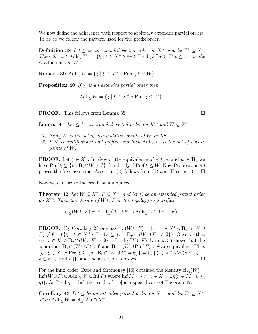We now define the adherence with respect to arbitrary extended partial orders. To do so we follow the pattern used for the prefix order.

**Definition 38** Let  $\leq$  be an extended partial order on  $X^{\infty}$  and let  $W \subseteq X^*$ . Then the set Adh $\langle W = \{\xi \mid \xi \in X^{\omega} \land \forall v \in \text{Pred}_{\leq \xi} \exists w \in W \, v \leq w\}$  is the  $\leq$ -adherence *of W*.

**Remark 39** Adh<sub><</sub>  $W = \{ \xi \mid \xi \in X^\omega \wedge \text{Pred}_{\leq} \xi \leq W \}.$ 

**Proposition 40** If  $\leq$  is an extended partial order then

$$
Adh_{\leq} W = \{ \xi \mid \xi \in X^{\omega} \wedge \text{Pref} \xi \leq W \}.
$$

**PROOF.** This follows from Lemma 35. □

**Lemma 41** Let  $\leq$  be an extended partial order on  $X^{\infty}$  and  $W \subseteq X^*$ .

- (1) Adh  $\leq$  W is the set of accumulation points of W in  $X^{\omega}$ .
- (2) If  $\leq$  is well-founded and prefix-based then Adh $\lt W$  is the set of cluster points of W.

**PROOF.** Let  $\xi \in X^{\omega}$ . In view of the equivalence of  $v \leq w$  and  $w \in \mathbf{B}_v$  we have Pref  $\xi \subseteq \{v \mid \mathbf{B}_v \cap W \neq \emptyset\}$  if and only if Pref  $\xi \leq W$ . Now Proposition 40 proves the first assertion. Assertion (2) follows from (1) and Theorem 31.  $\Box$ 

Now we can prove the result as announced.

**Theorem 42** Let  $W \subseteq X^*$ ,  $F \subseteq X^{\omega}$ , and let  $\leq$  be an extended partial order on  $X^{\infty}$ . Then the closure of  $W \cup F$  in the topology  $\tau_{\leq}$  satisfies

$$
\mathrm{cl}_{\leq}(W \cup F) = \mathrm{Pred}_{\leq}(W \cup F) \cup \mathrm{Adh}_{\leq}(W \cup \mathrm{Pref}\, F).
$$

**PROOF.** By Corollary 28 one has  $cl<(W\cup F) = \{v \mid v \in X^* \wedge \mathbf{B}_v \cap (W \cup F) \}$  $F \neq \emptyset$   $\cup$  { $\xi \mid \xi \in X^{\omega} \wedge \text{Pref} \xi \subseteq \{v \mid \mathbf{B}_v \cap (W \cup F) \neq \emptyset\}$ . Observe that  $\{v \mid v \in X^* \wedge \mathbf{B}_v \cap (W \cup F) \neq \emptyset\} = \text{Pred}_{\leq}(W \cup F)$ . Lemma 36 shows that the conditions  $\mathbf{B}_v \cap (W \cup F) \neq \emptyset$  and  $\mathbf{B}_v \cap (W \cup \text{Pref } F) \neq \emptyset$  are equivalent. Thus  $\{\xi \mid \xi \in X^{\omega} \wedge \text{Pref} \xi \subseteq \{v \mid \mathbf{B}_v \cap (W \cup F) \neq \emptyset\}\} = \{\xi \mid \xi \in X^{\omega} \wedge \forall v (v \leq_{p} \xi \rightarrow \mathbb{R})\}$  $v \in W \cup \text{Pref } F$ , and the assertion is proved.

For the infix order, Dare and Siromoney [16] obtained the identity  $\text{cl}_{\leq_i}(W) =$  $\text{Inf}(W \cup F) \cup \text{Adh}_{\leq i}(W \cup \text{Inf } F)$  where  $\text{Inf } M = \{v \mid v \in X^* \wedge \exists \eta (\eta \in M \wedge v \leq i \}$  $\{\eta\}$ . As Pred<sub> $\leq_i$ </sub> = Inf the result of [16] is a special case of Theorem 42.

Corollary 43 Let  $\leq$  be an extended partial order on  $X^{\infty}$ , and let  $W \subseteq X^*$ . Then  $\text{Adh}_\leq W = \text{cl}_{\leq}(W) \cap X^\omega$ .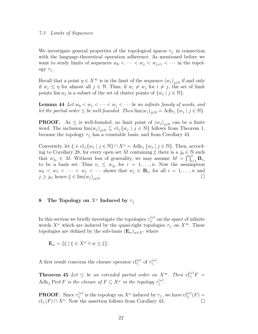#### 7.3 Limits of Sequences

We investigate general properties of the topological spaces  $\tau_{\leq}$  in connection with the language-theoretical operation adherence. As mentioned before we want to study limits of sequences  $w_0 < \cdots < w_i < w_{i+1} < \cdots$  in the topology  $\tau_{\leq}$ .

Recall that a point  $\eta \in X^{\infty}$  is in the limit of the sequence  $(w_j)_{j \in \mathbb{N}}$  if and only if  $w_j \leq \eta$  for almost all  $j \in \mathbb{N}$ . Thus, if  $w_i \neq w_j$  for  $i \neq j$ , the set of limit points  $\lim w_j$  is a subset of the set of cluster points of  $\{w_j \mid j \in \mathbb{N}\}.$ 

**Lemma 44** Let  $w_0 < w_1 < \cdots < w_j < \cdots$  be an infinite family of words, and let the partial order  $\leq$  be well-founded. Then  $\lim(w_j)_{j\in\mathbb{N}} = \text{Adh}_{\leq} \{w_j \mid j \in \mathbb{N}\}.$ 

**PROOF.** As  $\leq$  is well-founded, no limit point of  $(w_j)_{j\in\mathbb{N}}$  can be a finite word. The inclusion  $\lim(w_j)_{j\in\mathbb{N}}\subseteq \text{cl}_{\leq}\{w_j \mid j \in \mathbb{N}\}\$ follows from Theorem 1, because the topology  $\tau_{\leq}$  has a countable basis, and from Corollary 43.

Conversely, let  $\xi \in \text{cl}_{\leq} \{w_j \mid j \in \mathbb{N}\} \cap X^{\omega} = \text{Adh}_{\leq} \{w_j \mid j \in \mathbb{N}\}\.$  Then, according to Corollary 28, for every open set M containing  $\xi$  there is a  $j_0 \in \mathbb{N}$  such that  $w_{j_0} \in M$ . Without loss of generality, we may assume  $M = \bigcap_{i=1}^n \mathbf{B}_{v_i}$ to be a basis set. Thus  $v_i \leq w_{j_0}$  for  $i = 1, \ldots, n$ . Now the assumption  $w_0 < w_1 < \cdots < w_j < \cdots$  shows that  $w_j \in \mathbf{B}_{v_i}$  for all  $i = 1, \ldots, n$  and  $j \geq j_0$ ; hence  $\xi \in \lim(w_j)_{j \in \mathbb{N}}$ .

# 8 The Topology on  $X^{\omega}$  Induced by  $\tau_{\leq}$

In this section we briefly investigate the topologies  $\tau_{\leq}^{(\omega)}$  on the space of infinite words  $X^{\omega}$  which are induced by the quasi-right topologies  $\tau<\infty$ . These topologies are defined by the sub-basis  $(\mathbf{E}_w)_{w \in X^*}$  where

$$
\mathbf{E}_w = \{ \xi \mid \xi \in X^\omega \wedge w \le \xi \}.
$$

A first result concerns the closure operator  $cl_{\leq}^{(\omega)}$  of  $\tau_{\leq}^{(\omega)}$ .

**Theorem 45** Let  $\leq$  be an extended partial order on  $X^{\infty}$ . Then  $cl_{\leq}^{(\omega)}F$  =  $\text{Adh}_{\leq} \text{Pref } F$  is the closure of  $F \subseteq X^{\omega}$  in the topology  $\tau_{\leq}^{(\omega)}$ .

**PROOF.** Since  $\tau_{\leq}^{(\omega)}$  is the topology on  $X^{\omega}$  induced by  $\tau_{\leq}$ , we have  $\text{cl}_{\leq}^{(\omega)}(F)$  =  $\operatorname{cl}_{\leq}(F) \cap X^{\omega}$ . Now the assertion follows from Corollary 43.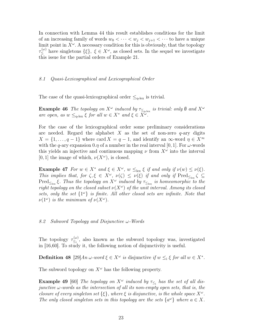In connection with Lemma 44 this result establishes conditions for the limit of an increasing family of words  $w_0 < \cdots < w_j < w_{j+1} < \cdots$  to have a unique limit point in  $X^{\omega}$ . A necessary condition for this is obviously, that the topology  $\tau_{\leq}^{(\omega)}$  have singletons  $\{\xi\},\ \xi\in X^{\omega}$ , as closed sets. In the sequel we investigate this issue for the partial orders of Example 21.

#### 8.1 Quasi-Lexicographical and Lexicographical Order

The case of the quasi-lexicographical order  $\leq_{q-\text{lex}}$  is trivial.

**Example 46** The topology on  $X^{\omega}$  induced by  $\tau_{\leq_{q-\text{lex}}}$  is trivial: only  $\emptyset$  and  $X^{\omega}$ are open, as  $w \leq_{q-\text{lex}} \xi$  for all  $w \in X^*$  and  $\xi \in X^{\omega}$ .

For the case of the lexicographical order some preliminary considerations are needed. Regard the alphabet X as the set of non-zero  $q$ -ary digits  $X = \{1, \ldots, q-1\}$  where card  $X = q-1$ , and identify an  $\infty$ -word  $\eta \in X^{\infty}$ with the q-ary expansion 0. $\eta$  of a number in the real interval [0, 1]. For  $\omega$ -words this yields an injective and continuous mapping  $\nu$  from  $X^{\omega}$  into the interval [0, 1] the image of which,  $\nu(X^{\omega})$ , is closed.

**Example 47** For  $w \in X^*$  and  $\xi \in X^{\omega}$ ,  $w \leq_{\text{lex}} \xi$  if and only if  $\nu(w) \leq \nu(\xi)$ . This implies that, for  $\zeta, \xi \in X^{\omega}$ ,  $\nu(\zeta) \leq \nu(\xi)$  if and only if  $\text{Pred}_{\leq_{\text{lex}}} \zeta \subseteq$  $\text{Pred}_{\leq_{\text{lex}}}$ ξ. Thus the topology on  $X^{\omega}$  induced by  $\tau_{\leq_{\text{lex}}}$  is homeomorphic to the right topology on the closed subset  $\nu(X^{\omega})$  of the unit interval. Among its closed sets, only the set  $\{1^{\omega}\}\$ is finite. All other closed sets are infinite. Note that  $\nu(1^{\omega})$  is the minimum of  $\nu(X^{\omega})$ .

#### 8.2 Subword Topology and Disjunctive  $\omega$ -Words

The topology  $\tau_{\leq i}^{(\omega)}$  $\zeta_i^{(\omega)}$ , also known as the subword topology was, investigated in [16,60]. To study it, the following notion of disjunctivity is useful.

**Definition 48** [29]  $An \omega$ -word  $\xi \in X^{\omega}$  is disjunctive if  $w \leq_{i} \xi$  for all  $w \in X^*$ .

The subword topology on  $X^{\omega}$  has the following property.

**Example 49** [60] The topology on  $X^{\omega}$  induced by  $\tau_{\leq i}$  has the set of all disjunctive  $\omega$ -words as the intersection of all its non-empty open sets, that is, the closure of every singleton set  $\{\xi\}$ , where  $\xi$  is disjunctive, is the whole space  $X^{\omega}$ . The only closed singleton sets in this topology are the sets  $\{a^{\omega}\}\$  where  $a \in X$ .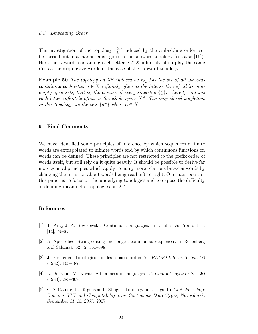#### 8.3 Embedding Order

The investigation of the topology  $\tau_{\leq}^{(\omega)}$  $\zeta_e^{(\omega)}$  induced by the embedding order can be carried out in a manner analogous to the subword topology (see also [16]). Here the  $\omega$ -words containing each letter  $a \in X$  infinitely often play the same rôle as the disjunctive words in the case of the subword topology.

**Example 50** The topology on  $X^{\omega}$  induced by  $\tau_{\leq_{e}}$  has the set of all  $\omega$ -words containing each letter  $a \in X$  infinitely often as the intersection of all its nonempty open sets, that is, the closure of every singleton  $\{\xi\}$ , where  $\xi$  contains each letter infinitely often, is the whole space  $X^{\omega}$ . The only closed singletons in this topology are the sets  $\{a^{\omega}\}\$  where  $a \in X$ .

#### 9 Final Comments

We have identified some principles of inference by which sequences of finite words are extrapolated to infinite words and by which continuous functions on words can be defined. These principles are not restricted to the prefix order of words itself, but still rely on it quite heavily. It should be possible to derive far more general principles which apply to many more relations between words by changing the intuition about words being read left-to-right. Our main point in this paper is to focus on the underlying topologies and to expose the difficulty of defining meaningful topologies on  $X^{\infty}$ .

#### References

- [1] T. Ang, J. A. Brzozowski: Continuous languages. In Csuhaj-Varjú and Ésik [14], 74–85.
- [2] A. Apostolico: String editing and longest common subsequences. In Rozenberg and Salomaa [52], 2, 361–398.
- [3] J. Bertrema: Topologies sur des espaces ordonnés. RAIRO Inform. Théor. 16 (1982), 165–182.
- [4] L. Boasson, M. Nivat: Adherences of languages. J. Comput. System Sci. 20 (1980), 285–309.
- [5] C. S. Calude, H. Jürgensen, L. Staiger: Topology on strings. In Joint Workshop: Domains VIII and Computability over Continuous Data Types, Novosibirsk, September 11–15, 2007. 2007.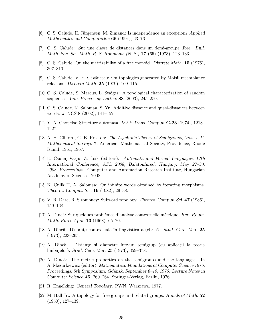- [6] C. S. Calude, H. Jürgensen, M. Zimand: Is independence an exception? Applied Mathematics and Computation 66 (1994), 63–76.
- [7] C. S. Calude: Sur une classe de distances dans un demi-groupe libre. Bull. Math. Soc. Sci. Math. R. S. Roumanie (N. S.) 17 (65) (1973), 123–133.
- [8] C. S. Calude: On the metrizability of a free monoid. Discrete Math. 15 (1976), 307–310.
- [9] C. S. Calude, V. E. Căzănescu: On topologies generated by Moisil resemblance relations. Discrete Math. 25 (1979), 109–115.
- [10] C. S. Calude, S. Marcus, L. Staiger: A topological characterization of random sequences. Info. Processing Letters 88 (2003), 245–250.
- [11] C. S. Calude, K. Salomaa, S. Yu: Additive distance and quasi-distances between words. J. UCS 8 (2002), 141–152.
- [12] Y. A. Choueka: Structure automata. IEEE Trans. Comput. C-23 (1974), 1218– 1227.
- [13] A. H. Clifford, G. B. Preston: The Algebraic Theory of Semigroups, Vols. I, II. Mathematical Surveys 7. American Mathematical Society, Providence, Rhode Island, 1961, 1967.
- [14] E. Csuhaj-Varjú, Z. Ésik (editors): Automata and Formal Languages. 12th International Conference, AFL 2008, Balatonfüred, Hungary, May 27–30, 2008. Proceedings. Computer and Automation Research Institute, Hungarian Academy of Sciences, 2008.
- [15] K. Culik II, A. Salomaa: On infinite words obtained by iterating morphisms. Theoret. Comput. Sci. 19 (1982), 29–38.
- [16] V. R. Dare, R. Siromoney: Subword topology. Theoret. Comput. Sci. 47 (1986), 159–168.
- [17] A. Dincă: Sur quelques problèmes d'analyse contextuelle métrique. Rev. Roum. Math. Pures Appl. 13 (1968), 65–70.
- [18] A. Dincă: Distanţe contextuale în lingvistica algebrică. Stud. Cerc. Mat. 25 (1973), 223–265.
- [19] A. Dincă: Distanţe şi diametre într-un semigrup (cu aplicaţii la teoria limbajelor). Stud. Cerc. Mat. 25 (1973), 359–378.
- [20] A. Dincă: The metric properties on the semigroups and the languages. In A. Mazurkiewicz (editor): Mathematical Foundations of Computer Science 1976, Proceedings, 5th Symposium, Gdánsk, September 6–10, 1976. Lecture Notes in Computer Science 45, 260–264, Springer-Verlag, Berlin, 1976.
- [21] R. Engelking: General Topology. PWN, Warszawa, 1977.
- [22] M. Hall Jr.: A topology for free groups and related groups. Annals of Math. 52 (1950), 127–139.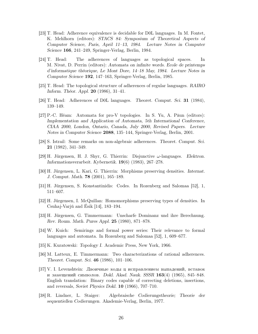- [23] T. Head: Adherence equivalence is decidable for D0L languages. In M. Fontet, K. Mehlhorn (editors): STACS 84: Symposium of Theoretical Aspects of Computer Science, Paris, April 11–13, 1984. Lecture Notes in Computer Science 166, 241–249, Springer-Verlag, Berlin, 1984.
- [24] T. Head: The adherences of languages as topological spaces. In M. Nivat, D. Perrin (editors): Automata on infinite words. Ecole de printemps d'informatique théorique, Le Mont Dore, 14–18 May, 1984. Lecture Notes in Computer Science 192, 147–163, Springer-Verlag, Berlin, 1985.
- [25] T. Head: The topological structure of adherences of regular languages. RAIRO Inform. Théor. Appl. 20 (1986), 31–41.
- [26] T. Head: Adherences of D0L languages. Theoret. Comput. Sci. 31 (1984), 139–149.
- [27] P.-C. Héam: Automata for pro-V topologies. In S. Yu, A. Păun (editors): Implementation and Application of Automata, 5th International Conference, CIAA 2000, London, Ontario, Canada, July 2000, Revised Papers. Lecture Notes in Computer Science 2088, 135–144, Springer-Verlag, Berlin, 2001.
- [28] S. Istrail: Some remarks on non-algebraic adherences. Theoret. Comput. Sci. 21 (1982), 341–349.
- [29] H. Jürgensen, H. J. Shyr, G. Thierrin: Disjunctive  $\omega$ -languages. Elektron. Informationsverarbeit. Kybernetik. 19(6) (1983), 267–278.
- [30] H. Jürgensen, L. Kari, G. Thierrin: Morphisms preserving densities. Internat. J. Comput. Math. 78 (2001), 165–189.
- [31] H. Jürgensen, S. Konstantinidis: Codes. In Rozenberg and Salomaa [52], 1, 511–607.
- [32] H. Jürgensen, I. McQuillan: Homomorphisms preserving types of densities. In Csuhaj-Varjú and Ésik [14], 183–194.
- [33] H. Jürgensen, G. Timmermann: Unscharfe Dominanz und ihre Berechnung. Rev. Roum. Math. Pures Appl. 25 (1980), 871–878.
- [34] W. Kuich: Semirings and formal power series: Their relevance to formal languages and automata. In Rozenberg and Salomaa [52], 1, 609–677.
- [35] K. Kuratowski: Topology I. Academic Press, New York, 1966.
- [36] M. Latteux, E. Timmermann: Two characterizations of rational adherences. Theoret. Comput. Sci. 46 (1986), 101–106.
- $|37|$  V. I. Levenshtein: Двоичные коды ц исправлением выпадений, вставок и замещений символов. Dokl. Akad. Nauk. SSSR  $163(4)$  (1965), 845–848. English translation: Binary codes capable of correcting deletions, insertions, and reversals, Soviet Physics Dokl. 10 (1966), 707–710.
- [38] R. Lindner, L. Staiger: Algebraische Codierungstheorie; Theorie der sequentiellen Codierungen. Akademie-Verlag, Berlin, 1977.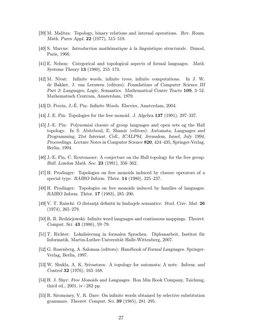- [39] M. Malitza: Topology, binary relations and internal operations. Rev. Roum. Math. Pures Appl. **22** (1977), 515–519.
- [40] S. Marcus: Introduction mathématique à la linguistique structurale. Dunod, Paris, 1966.
- [41] E. Nelson: Categorical and topological aspects of formal languages. Math. Systems Theory 13 (1980), 255–173.
- [42] M. Nivat: Infinite words, infinite trees, infinite computations. In J. W. de Bakker, J. van Leeuwen (editors): Foundations of Computer Science III Part 2: Languages, Logic, Semantics. Mathematical Centre Tracts 109, 3–52. Mathematisch Centrum, Amsterdam, 1979.
- [43] D. Perrin, J.-É. Pin: Infinite Words. Elsevier, Amsterdam, 2004.
- [44] J. E. Pin: Topologies for the free monoid. J. Algebra 137 (1991), 297–337.
- [45] J.-E. Pin: Polynomial closure of group languages and open sets og the Hall topology. In S. Abiteboul, E. Shamir (editors): Automata, Languages and Programming, 21st Internat. Coll., ICALP94, Jerusalem, Israel, July 1994, Proceedings. Lecture Notes in Computer Science 820, 424–435, Springer-Verlag, Berlin, 1994.
- [46] J.-E. Pin, C. Reutenauer: A conjecture on the Hall topology for the free group. Bull. London Math. Soc. 23 (1991), 356–362.
- [47] H. Prodinger: Topologies on free monoids induced by closure operators of a special type. RAIRO Inform. Théor. 14 (1980), 225–237.
- [48] H. Prodinger: Topologies on free monoids induced by families of languages. RAIRO Inform. Théor. 17 (1983), 285–290.
- [49] V. T. Raischi: O distanţă definită în limbajele semantice. Stud. Cerc. Mat. 26 (1974), 265–279.
- [50] R. R. Redziejowski: Infinite word languages and continuous mappings. Theoret. Comput. Sci. 43 (1986), 59–79.
- [51] T. Richter: Lokalisierung in formalen Sprachen. Diplomarbeit, Institut für Informatik, Martin-Luther-Universität Halle-Wittenberg, 2007.
- [52] G. Rozenberg, A. Salomaa (editors): Handbook of Formal Languages. Springer-Verlag, Berlin, 1997.
- [53] W. Shukla, A. K. Srivastava: A topology for automata: A note. Inform. and Control 32 (1976), 163–168.
- [54] H. J. Shyr: Free Monoids and Languages. Hon Min Book Company, Taichung, third ed.,  $2001$ , iv $+282$  pp.
- [55] R. Siromoney, V. R. Dare: On infinite words obtained by selective substitution grammars. Theoret. Comput. Sci. 39 (1985), 281–295.